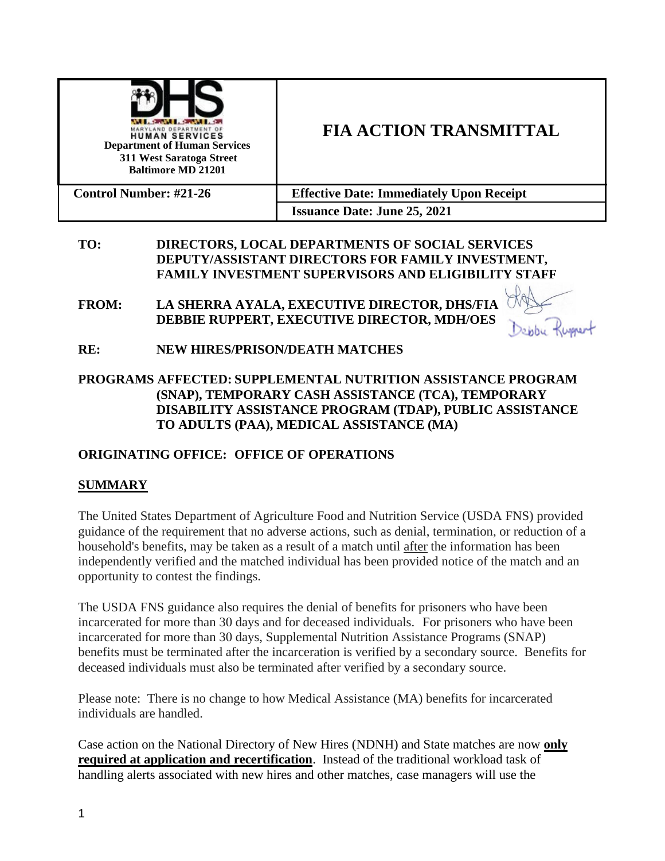

# **FIA ACTION TRANSMITTAL**

| <b>Control Number: #21-26</b> | <b>Effective Date: Immediately Upon Receipt</b> |
|-------------------------------|-------------------------------------------------|
|                               | <b>Issuance Date: June 25, 2021</b>             |

# **TO: DIRECTORS, LOCAL DEPARTMENTS OF SOCIAL SERVICES DEPUTY/ASSISTANT DIRECTORS FOR FAMILY INVESTMENT, FAMILY INVESTMENT SUPERVISORS AND ELIGIBILITY STAFF**

**FROM: LA SHERRA AYALA, EXECUTIVE DIRECTOR, DHS/FIA DEBBIE RUPPERT, EXECUTIVE DIRECTOR, MDH/OES**



- **RE: NEW HIRES/PRISON/DEATH MATCHES**
- **PROGRAMS AFFECTED: SUPPLEMENTAL NUTRITION ASSISTANCE PROGRAM (SNAP), TEMPORARY CASH ASSISTANCE (TCA), TEMPORARY DISABILITY ASSISTANCE PROGRAM (TDAP), PUBLIC ASSISTANCE TO ADULTS (PAA), MEDICAL ASSISTANCE (MA)**

# **ORIGINATING OFFICE: OFFICE OF OPERATIONS**

# **SUMMARY**

The United States Department of Agriculture Food and Nutrition Service (USDA FNS) provided guidance of the requirement that no adverse actions, such as denial, termination, or reduction of a household's benefits, may be taken as a result of a match until after the information has been independently verified and the matched individual has been provided notice of the match and an opportunity to contest the findings.

The USDA FNS guidance also requires the denial of benefits for prisoners who have been incarcerated for more than 30 days and for deceased individuals. For prisoners who have been incarcerated for more than 30 days, Supplemental Nutrition Assistance Programs (SNAP) benefits must be terminated after the incarceration is verified by a secondary source. Benefits for deceased individuals must also be terminated after verified by a secondary source.

Please note: There is no change to how Medical Assistance (MA) benefits for incarcerated individuals are handled.

Case action on the National Directory of New Hires (NDNH) and State matches are now **only required at application and recertification**. Instead of the traditional workload task of handling alerts associated with new hires and other matches, case managers will use the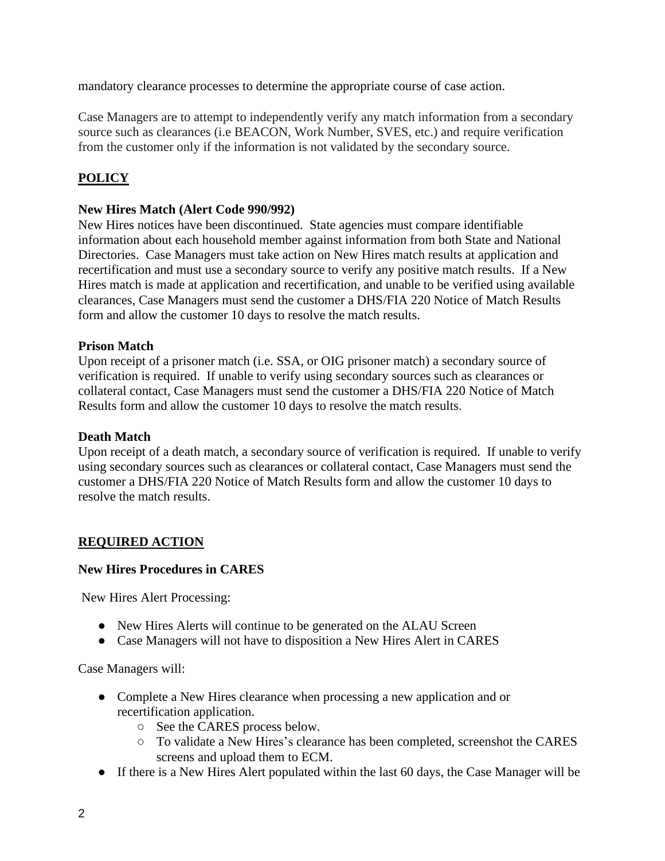mandatory clearance processes to determine the appropriate course of case action.

Case Managers are to attempt to independently verify any match information from a secondary source such as clearances (i.e BEACON, Work Number, SVES, etc.) and require verification from the customer only if the information is not validated by the secondary source.

# **POLICY**

## **New Hires Match (Alert Code 990/992)**

New Hires notices have been discontinued. State agencies must compare identifiable information about each household member against information from both State and National Directories. Case Managers must take action on New Hires match results at application and recertification and must use a secondary source to verify any positive match results. If a New Hires match is made at application and recertification, and unable to be verified using available clearances, Case Managers must send the customer a DHS/FIA 220 Notice of Match Results form and allow the customer 10 days to resolve the match results.

#### **Prison Match**

Upon receipt of a prisoner match (i.e. SSA, or OIG prisoner match) a secondary source of verification is required. If unable to verify using secondary sources such as clearances or collateral contact, Case Managers must send the customer a DHS/FIA 220 Notice of Match Results form and allow the customer 10 days to resolve the match results.

#### **Death Match**

Upon receipt of a death match, a secondary source of verification is required. If unable to verify using secondary sources such as clearances or collateral contact, Case Managers must send the customer a DHS/FIA 220 Notice of Match Results form and allow the customer 10 days to resolve the match results.

# **REQUIRED ACTION**

#### **New Hires Procedures in CARES**

New Hires Alert Processing:

- New Hires Alerts will continue to be generated on the ALAU Screen
- Case Managers will not have to disposition a New Hires Alert in CARES

Case Managers will:

- Complete a New Hires clearance when processing a new application and or recertification application.
	- See the CARES process below.
	- To validate a New Hires's clearance has been completed, screenshot the CARES screens and upload them to ECM.
- If there is a New Hires Alert populated within the last 60 days, the Case Manager will be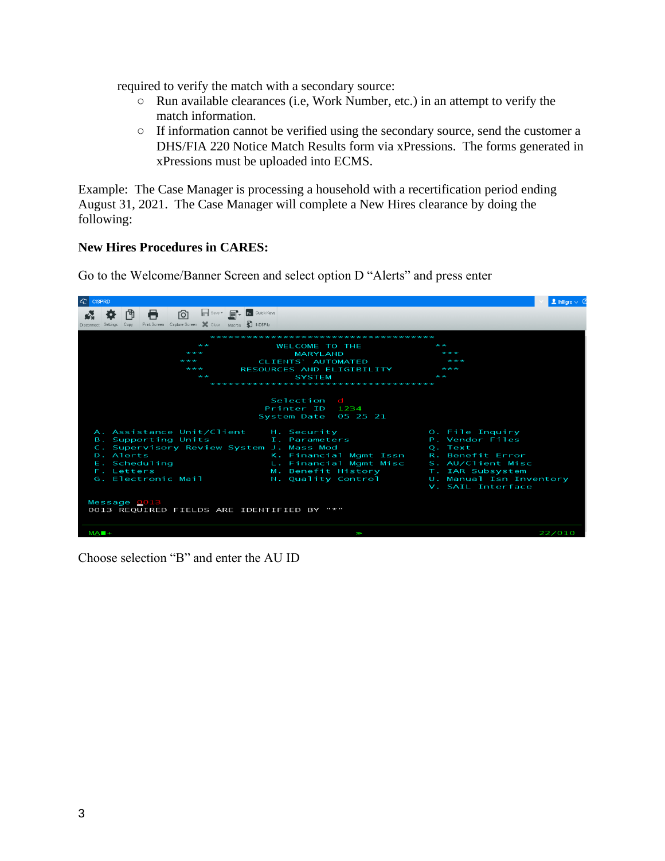required to verify the match with a secondary source:

- Run available clearances (i.e, Work Number, etc.) in an attempt to verify the match information.
- If information cannot be verified using the secondary source, send the customer a DHS/FIA 220 Notice Match Results form via xPressions. The forms generated in xPressions must be uploaded into ECMS.

Example: The Case Manager is processing a household with a recertification period ending August 31, 2021. The Case Manager will complete a New Hires clearance by doing the following:

#### **New Hires Procedures in CARES:**

Go to the Welcome/Banner Screen and select option D "Alerts" and press enter



Choose selection "B" and enter the AU ID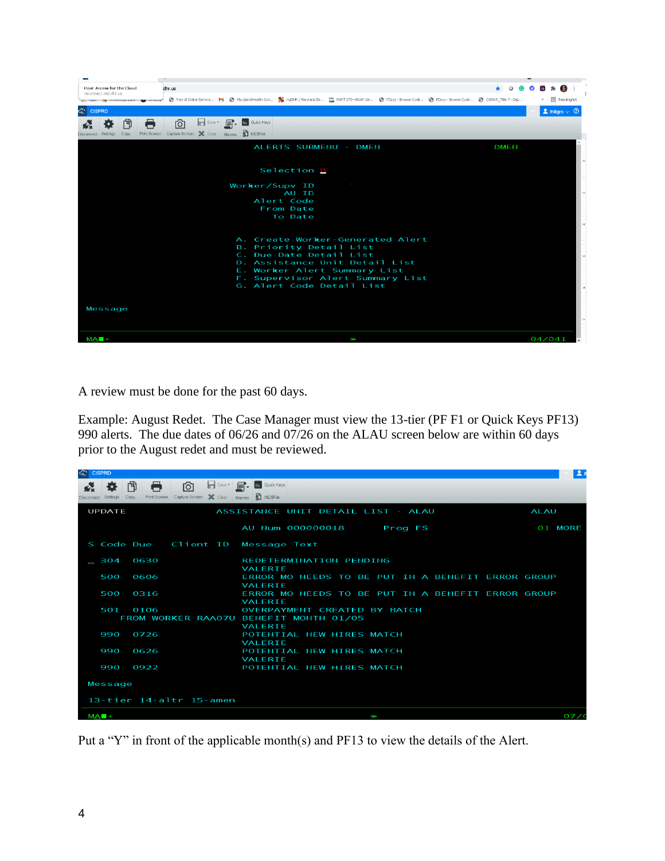| Host Access for the Cloud<br>mconnect.md.dhr.us | dhr.us                                                |             |                                               |
|-------------------------------------------------|-------------------------------------------------------|-------------|-----------------------------------------------|
|                                                 |                                                       |             | » 图 Reading list                              |
| <b>C</b> CISPRD                                 |                                                       |             | $\blacktriangle$ Ihillgro $\vee$ <sup>①</sup> |
| A<br>门                                          | Save v F Cuick Keys<br>ाठा                            |             |                                               |
| Copy<br><b>Disconnect</b><br>Settings           | Print Screen Capture Screen X Clear Macros S INDSFile |             |                                               |
|                                                 | ALERTS SUBMENU - DMEN                                 | <b>DMEN</b> |                                               |
|                                                 |                                                       |             |                                               |
|                                                 | Selection D                                           |             |                                               |
|                                                 | Worker/Supv ID                                        |             |                                               |
|                                                 | AU ID                                                 |             |                                               |
|                                                 | Alert Code                                            |             |                                               |
|                                                 | From Date                                             |             |                                               |
|                                                 | To Date                                               |             |                                               |
|                                                 |                                                       |             |                                               |
|                                                 | A. Create Worker-Generated Alert                      |             |                                               |
|                                                 | B. Priority Detail List                               |             |                                               |
|                                                 | C. Due Date Detail List                               |             |                                               |
|                                                 | D. Assistance Unit Detail List                        |             |                                               |
|                                                 | E. Worker Alert Summary List                          |             |                                               |
|                                                 | F. Supervisor Alert Summary List                      |             |                                               |
|                                                 | G. Alert Code Detail List                             |             |                                               |
|                                                 |                                                       |             |                                               |
| Message                                         |                                                       |             |                                               |
|                                                 |                                                       |             |                                               |
|                                                 |                                                       |             |                                               |
| $MA$ $+$                                        | ¥                                                     |             | 04/041                                        |

A review must be done for the past 60 days.

Example: August Redet. The Case Manager must view the 13-tier (PF F1 or Quick Keys PF13) 990 alerts. The due dates of 06/26 and 07/26 on the ALAU screen below are within 60 days prior to the August redet and must be reviewed.

| G CISPRD                 |                     |           |                                                               |                                                                                          |             | л   |
|--------------------------|---------------------|-----------|---------------------------------------------------------------|------------------------------------------------------------------------------------------|-------------|-----|
|                          | Disconnect Settings | 门<br>Copy | ाठा<br>Print Screen Capture Screen X Clear Macros \$ INDSFile | Save v Fr Quick Keys                                                                     |             |     |
|                          | <b>UPDATE</b>       |           |                                                               | ASSISTANCE UNIT DETAIL LIST - ALAU                                                       | <b>ALAU</b> |     |
|                          |                     |           |                                                               | AU Num 000000018<br>Prog FS                                                              | 01 MORE     |     |
|                          |                     |           | S Code Due Client ID                                          | Message Text                                                                             |             |     |
| $\overline{\phantom{a}}$ | 304                 | 0630      |                                                               | <b>REDETERMINATION PENDING</b><br><b>VALERIE</b>                                         |             |     |
|                          | 500                 | 0606      |                                                               | ERROR MO NEEDS TO BE PUT IN A BENEFIT ERROR GROUP<br><b>VALERIE</b>                      |             |     |
|                          | 500                 | 0316      |                                                               | ERROR MO NEEDS TO BE PUT IN A BENEFIT ERROR GROUP<br><b>VALERIE</b>                      |             |     |
|                          | 501                 | 0106      |                                                               | OVERPAYMENT CREATED BY BATCH<br>FROM WORKER RAA07U BENEFIT MONTH 01/05<br><b>VALERIE</b> |             |     |
|                          | 990                 | 0726      |                                                               | POTENTIAL NEW HIRES MATCH<br><b>VALERIE</b>                                              |             |     |
|                          | 990                 | 0626      |                                                               | POTENTIAL NEW HIRES MATCH<br><b>VALERIE</b>                                              |             |     |
|                          | 990                 | 0922      |                                                               | POTENTIAL NEW HIRES MATCH                                                                |             |     |
|                          | Message             |           |                                                               |                                                                                          |             |     |
|                          |                     |           | $13 - t$ ier $14 - a$ ltr $15 - amen$                         |                                                                                          |             |     |
|                          | $MA$ $+$            |           |                                                               | y                                                                                        |             | 07/ |

Put a "Y" in front of the applicable month(s) and PF13 to view the details of the Alert.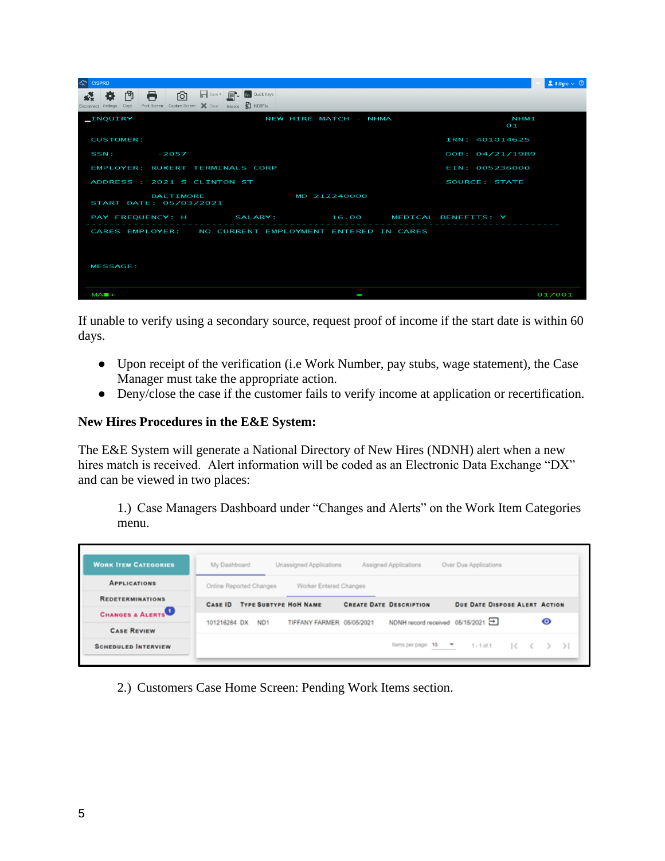| G CISPRD                                                                                                                       | $\vert$ 1 Ihillgro $\vee$ 0        |
|--------------------------------------------------------------------------------------------------------------------------------|------------------------------------|
| Save v F Coulck Keys<br>ाठा<br>門<br>Ð.<br>Print Screen Capture Screen X Clear Macros S INDSFile<br>Copy<br>Disconnect Settings |                                    |
| _INQUIRY<br>NEW HIRE MATCH - NHMA                                                                                              | NHM <sub>1</sub><br>O <sub>1</sub> |
| <b>CUSTOMER:</b>                                                                                                               | IRN: 401014625                     |
| SSN:<br>$-2057$                                                                                                                | DOB: 04/21/1989                    |
| EMPLOYER: RUKERT TERMINALS CORP                                                                                                | EIN: 005236000                     |
| ADDRESS : 2021 S CLINTON ST                                                                                                    | SOURCE: STATE                      |
| <b>BALTIMORE</b><br>MD 212240000<br>START DATE: 05/03/2021                                                                     |                                    |
| PAY FREQUENCY: H SALARY: 16.00                                                                                                 | MEDICAL BENEFITS: Y                |
| CARES EMPLOYER: NO CURRENT EMPLOYMENT ENTERED IN CARES                                                                         |                                    |
| <b>MESSAGE:</b>                                                                                                                |                                    |
| $MAH +$<br>ł                                                                                                                   | 01/001                             |

If unable to verify using a secondary source, request proof of income if the start date is within 60 days.

- Upon receipt of the verification (i.e Work Number, pay stubs, wage statement), the Case Manager must take the appropriate action.
- Deny/close the case if the customer fails to verify income at application or recertification.

#### **New Hires Procedures in the E&E System:**

The E&E System will generate a National Directory of New Hires (NDNH) alert when a new hires match is received. Alert information will be coded as an Electronic Data Exchange "DX" and can be viewed in two places:

1.) Case Managers Dashboard under "Changes and Alerts" on the Work Item Categories menu.

| <b>WORK ITEM CATEGORIES</b> | Unassigned Applications<br>Assigned Applications<br>My Dashboard<br>Over Due Applications                         |
|-----------------------------|-------------------------------------------------------------------------------------------------------------------|
| <b>APPLICATIONS</b>         | Worker Entered Changes<br>Online Reported Changes                                                                 |
| <b>REDETERMINATIONS</b>     | <b>TYPE SUBTYPE HOH NAME</b><br><b>CREATE DATE DESCRIPTION</b><br><b>DUE DATE DISPOSE ALERT ACTION</b><br>CASE ID |
| CHANGES & ALERTS            | $\bullet$<br>NDNH record received 05/15/2021<br>TIFFANY FARMER 05/05/2021<br>101216284 DX<br>ND <sub>1</sub>      |
| <b>CASE REVIEW</b>          | thems per page: 10 -<br>$1 - 1$ of 1                                                                              |
| <b>SCHEDULED INTERVIEW</b>  | $ <$ $<$ $>$ $>$ $ $                                                                                              |

2.) Customers Case Home Screen: Pending Work Items section.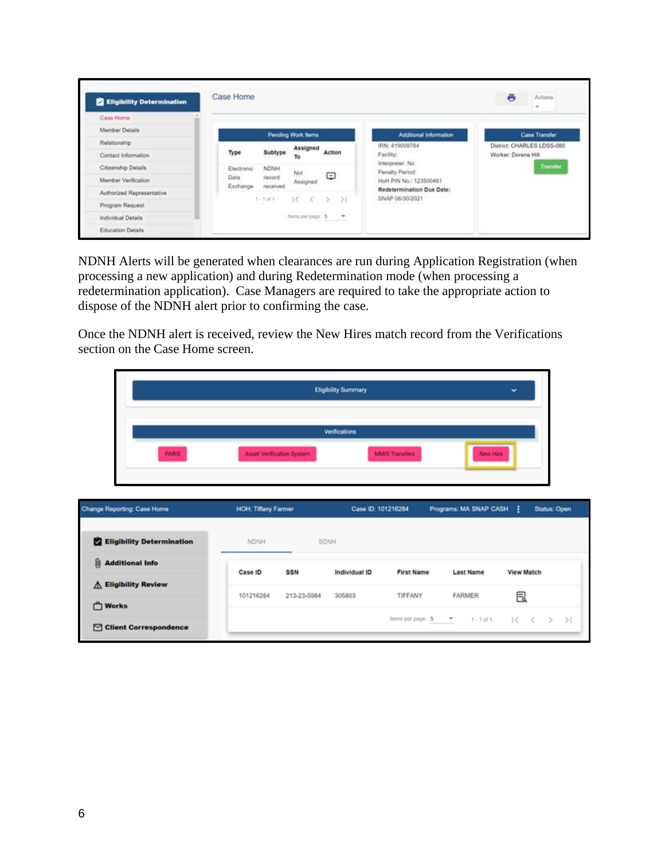| <b>2</b> Eligibility Determination | Case Home        |                                 |                    |                                              |                        | Actions<br>e<br>$\sim$     |
|------------------------------------|------------------|---------------------------------|--------------------|----------------------------------------------|------------------------|----------------------------|
| Case Home                          |                  |                                 |                    |                                              |                        |                            |
| Member Details                     |                  |                                 | Pending Work Itoms |                                              | Additional Information | <b>Case Transfer</b>       |
| Relationship                       |                  |                                 | Assigned           |                                              | IRN: 419009764         | District: CHARLES LDSS-080 |
| Contact Information                | Type             | Subtype                         | To                 | Action                                       | Facility:              | Worker: Dorene Hill        |
| Citizenship Details                | Electronic       | Interpreter: No.<br>NDNH<br>Not | Penalty Period:    | <b>Transfer</b>                              |                        |                            |
| Member Verification                | Data<br>Exchange | tecord<br>received              | Assigned           | Ξ                                            | HoH PIN No.: 123500461 |                            |
| Authorized Representative          |                  |                                 |                    | Redetermination Due Date:<br>SNAP 06/30/2021 |                        |                            |
| Program Request                    |                  | $1 - 1.011$                     | 10.<br>- 93        |                                              |                        |                            |
| Individual Details                 |                  |                                 | have per page: 5   | $\overline{\phantom{a}}$                     |                        |                            |
| Education Details                  |                  |                                 |                    |                                              |                        |                            |

NDNH Alerts will be generated when clearances are run during Application Registration (when processing a new application) and during Redetermination mode (when processing a redetermination application). Case Managers are required to take the appropriate action to dispose of the NDNH alert prior to confirming the case.

Once the NDNH alert is received, review the New Hires match record from the Verifications section on the Case Home screen.

|                                                  | <b>Eligibility Summary</b><br>v |             |                      |                       |                                                          |                   |                     |  |
|--------------------------------------------------|---------------------------------|-------------|----------------------|-----------------------|----------------------------------------------------------|-------------------|---------------------|--|
| <b>PARIS</b>                                     | Asset Verification System       |             | <b>Verifications</b> | <b>MMIS Transfers</b> | New Hire                                                 |                   |                     |  |
| Change Reporting: Case Home                      | <b>HOH: Tiffany Farmer</b>      |             | Case ID: 101216284   |                       | Programs: MA SNAP CASH :                                 |                   | <b>Status: Open</b> |  |
| <b>Eligibility Determination</b>                 | NDNH                            | SDNH        |                      |                       |                                                          |                   |                     |  |
| <b>U</b> Additional Info<br>△ Eligibility Review | Case ID                         | <b>SSN</b>  | Individual ID        | <b>First Name</b>     | <b>Last Name</b>                                         | <b>View Match</b> |                     |  |
| <b>C</b> Works<br>□ Client Correspondence        | 101216284                       | 213-23-5984 | 305803               | TIFFANY               | <b>FARMER</b><br>Items per page: 5 ▼ 1-1 of 1  < < > > > | 艮                 |                     |  |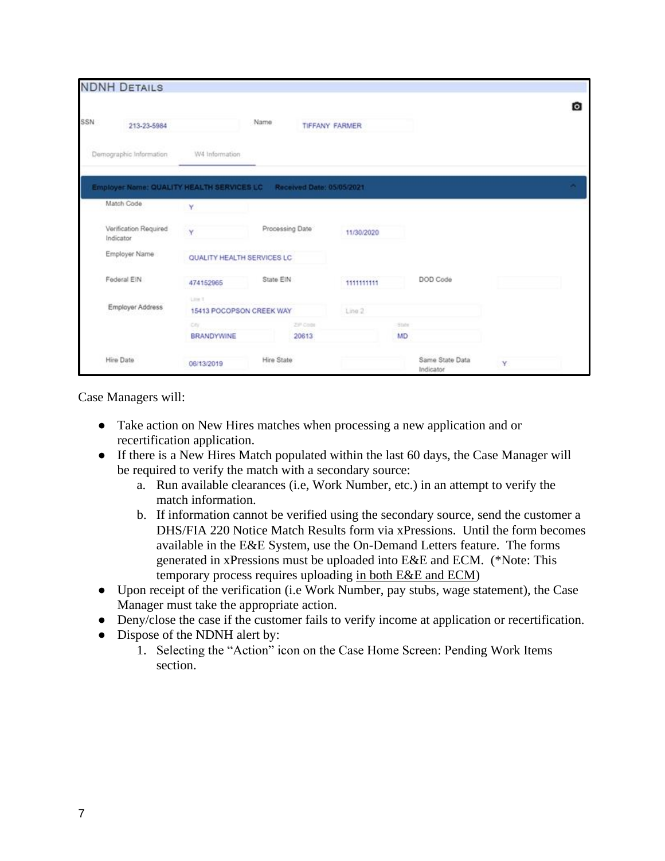|     | <b>NDNH DETAILS</b>                |                                           |                 |          |                           |              |                              |   |   |
|-----|------------------------------------|-------------------------------------------|-----------------|----------|---------------------------|--------------|------------------------------|---|---|
| SSN | 213-23-5984                        |                                           | Name            |          | TIFFANY FARMER            |              |                              |   | O |
|     | Demographic Information            | W4 Information                            |                 |          |                           |              |                              |   |   |
|     |                                    | Employer Name: QUALITY HEALTH SERVICES LC |                 |          | Received Date: 05/05/2021 |              |                              |   |   |
|     | Match Code                         | Y.                                        |                 |          |                           |              |                              |   |   |
|     | Verification Required<br>Indicator | Y                                         | Processing Date |          | 11/30/2020                |              |                              |   |   |
|     | Employer Name                      | QUALITY HEALTH SERVICES LC                |                 |          |                           |              |                              |   |   |
|     | Federal EIN                        | 474152965                                 | State EIN       |          | 1111111111                |              | DOD Code                     |   |   |
|     | Employer Address                   | Link 1<br>15413 POCOPSON CREEK WAY        |                 |          | Line 2                    |              |                              |   |   |
|     |                                    | City                                      |                 | ZiP Code |                           | <b>State</b> |                              |   |   |
|     |                                    | <b>BRANDYWINE</b>                         |                 | 20613    |                           | MD           |                              |   |   |
|     | Hire Date                          | 06/13/2019                                | Hire State      |          |                           |              | Same State Data<br>Indicator | Y |   |

Case Managers will:

- Take action on New Hires matches when processing a new application and or recertification application.
- If there is a New Hires Match populated within the last 60 days, the Case Manager will be required to verify the match with a secondary source:
	- a. Run available clearances (i.e, Work Number, etc.) in an attempt to verify the match information.
	- b. If information cannot be verified using the secondary source, send the customer a DHS/FIA 220 Notice Match Results form via xPressions. Until the form becomes available in the E&E System, use the On-Demand Letters feature. The forms generated in xPressions must be uploaded into E&E and ECM. (\*Note: This temporary process requires uploading in both E&E and ECM)
- Upon receipt of the verification (i.e Work Number, pay stubs, wage statement), the Case Manager must take the appropriate action.
- Deny/close the case if the customer fails to verify income at application or recertification.
- Dispose of the NDNH alert by:
	- 1. Selecting the "Action" icon on the Case Home Screen: Pending Work Items section.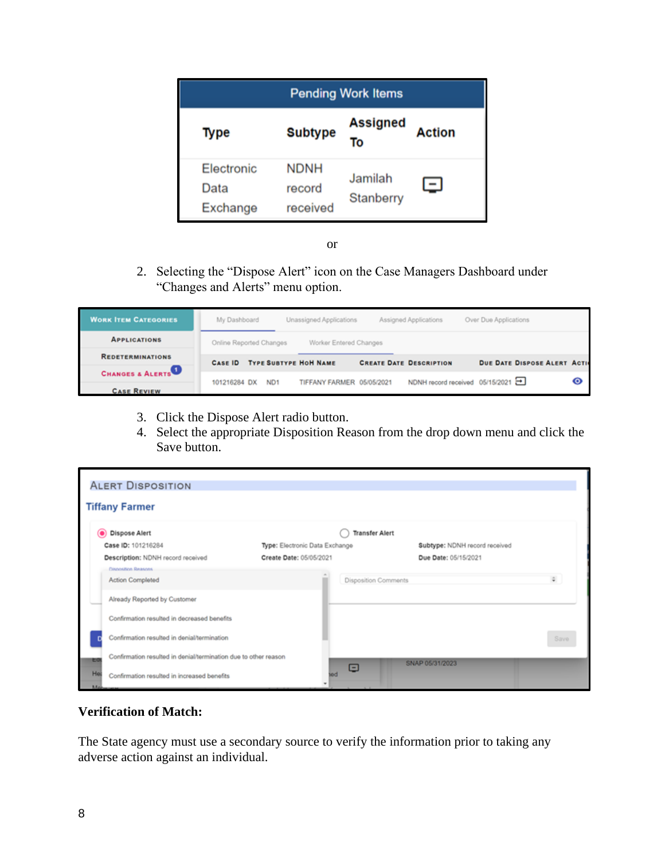| <b>Pending Work Items</b>             |                                   |                       |                |  |  |  |
|---------------------------------------|-----------------------------------|-----------------------|----------------|--|--|--|
| Type                                  | <b>Subtype</b>                    | <b>Assigned</b><br>To | <b>Action</b>  |  |  |  |
| <b>Electronic</b><br>Data<br>Exchange | <b>NDNH</b><br>record<br>received | Jamilah<br>Stanberry  | $\blacksquare$ |  |  |  |

or

2. Selecting the "Dispose Alert" icon on the Case Managers Dashboard under "Changes and Alerts" menu option.

| <b>WORK ITEM CATEGORIES</b> | My Dashboard            |                 | Unassigned Applications      | Assigned Applications           | Over Due Applications              |   |
|-----------------------------|-------------------------|-----------------|------------------------------|---------------------------------|------------------------------------|---|
| <b>APPLICATIONS</b>         | Online Reported Changes |                 | Worker Entered Changes       |                                 |                                    |   |
| <b>REDETERMINATIONS</b>     | CASE ID                 |                 | <b>TYPE SUBTYPE HOH NAME</b> | <b>CREATE DATE DESCRIPTION</b>  | <b>DUE DATE DISPOSE ALERT ACTI</b> |   |
| <b>CHANGES &amp; ALERTS</b> | 101216284 DX            | ND <sub>1</sub> | TIFFANY FARMER 05/05/2021    | NDNH record received 05/15/2021 |                                    | ⊙ |
| <b>CASE REVIEW</b>          |                         |                 |                              |                                 |                                    |   |

- 3. Click the Dispose Alert radio button.
- 4. Select the appropriate Disposition Reason from the drop down menu and click the Save button.

| <b>ALERT DISPOSITION</b>                                                     |                                |                               |              |
|------------------------------------------------------------------------------|--------------------------------|-------------------------------|--------------|
| <b>Tiffany Farmer</b>                                                        |                                |                               |              |
| Dispose Alert<br>$\bullet$                                                   |                                | <b>Transfer Alert</b>         |              |
| Case ID: 101216284                                                           | Type: Electronic Data Exchange | Subtype: NDNH record received |              |
| Description: NDNH record received                                            | Create Date: 05/05/2021        | Due Date: 05/15/2021          |              |
| Disnosition Reasons<br><b>Action Completed</b>                               |                                | <b>Disposition Comments</b>   | $\hat{\div}$ |
| Already Reported by Customer                                                 |                                |                               |              |
| Confirmation resulted in decreased benefits                                  |                                |                               |              |
| Confirmation resulted in denial/termination                                  |                                |                               | Save         |
| Confirmation resulted in denial/termination due to other reason<br><b>EG</b> | Ξ                              | SNAP 05/31/2023               |              |
| Ha<br>Confirmation resulted in increased benefits                            | bor                            |                               |              |

# **Verification of Match:**

The State agency must use a secondary source to verify the information prior to taking any adverse action against an individual.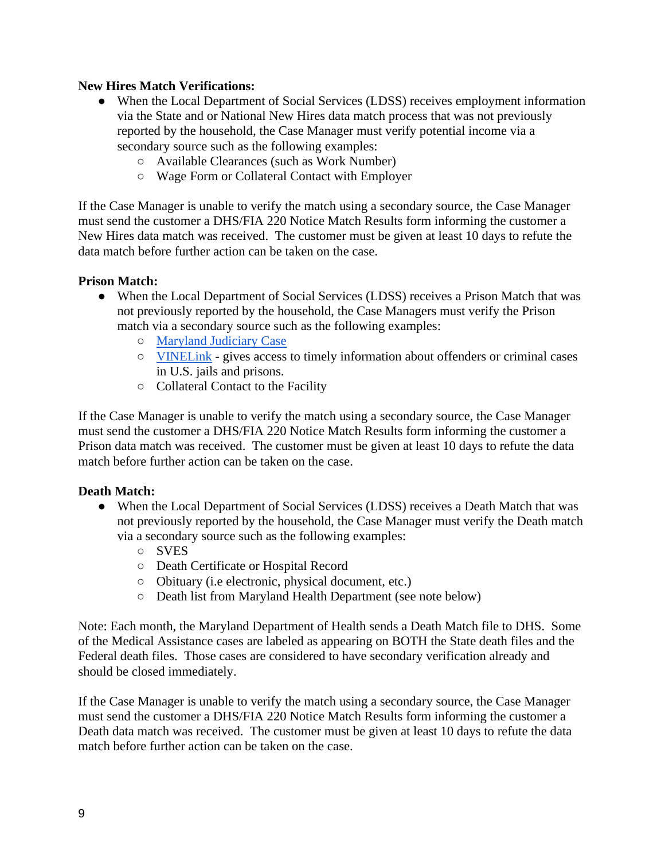## **New Hires Match Verifications:**

- When the Local Department of Social Services (LDSS) receives employment information via the State and or National New Hires data match process that was not previously reported by the household, the Case Manager must verify potential income via a secondary source such as the following examples:
	- Available Clearances (such as Work Number)
	- Wage Form or Collateral Contact with Employer

If the Case Manager is unable to verify the match using a secondary source, the Case Manager must send the customer a DHS/FIA 220 Notice Match Results form informing the customer a New Hires data match was received. The customer must be given at least 10 days to refute the data match before further action can be taken on the case.

#### **Prison Match:**

- When the Local Department of Social Services (LDSS) receives a Prison Match that was not previously reported by the household, the Case Managers must verify the Prison match via a secondary source such as the following examples:
	- [Maryland Judiciary Case](http://casesearch.courts.state.md.us/casesearch/)
	- [VINELink](https://www.vinelink.com/#state-selection) gives access to timely information about offenders or criminal cases in U.S. jails and prisons.
	- Collateral Contact to the Facility

If the Case Manager is unable to verify the match using a secondary source, the Case Manager must send the customer a DHS/FIA 220 Notice Match Results form informing the customer a Prison data match was received. The customer must be given at least 10 days to refute the data match before further action can be taken on the case.

#### **Death Match:**

- When the Local Department of Social Services (LDSS) receives a Death Match that was not previously reported by the household, the Case Manager must verify the Death match via a secondary source such as the following examples:
	- SVES
	- Death Certificate or Hospital Record
	- Obituary (i.e electronic, physical document, etc.)
	- Death list from Maryland Health Department (see note below)

Note: Each month, the Maryland Department of Health sends a Death Match file to DHS. Some of the Medical Assistance cases are labeled as appearing on BOTH the State death files and the Federal death files. Those cases are considered to have secondary verification already and should be closed immediately.

If the Case Manager is unable to verify the match using a secondary source, the Case Manager must send the customer a DHS/FIA 220 Notice Match Results form informing the customer a Death data match was received. The customer must be given at least 10 days to refute the data match before further action can be taken on the case.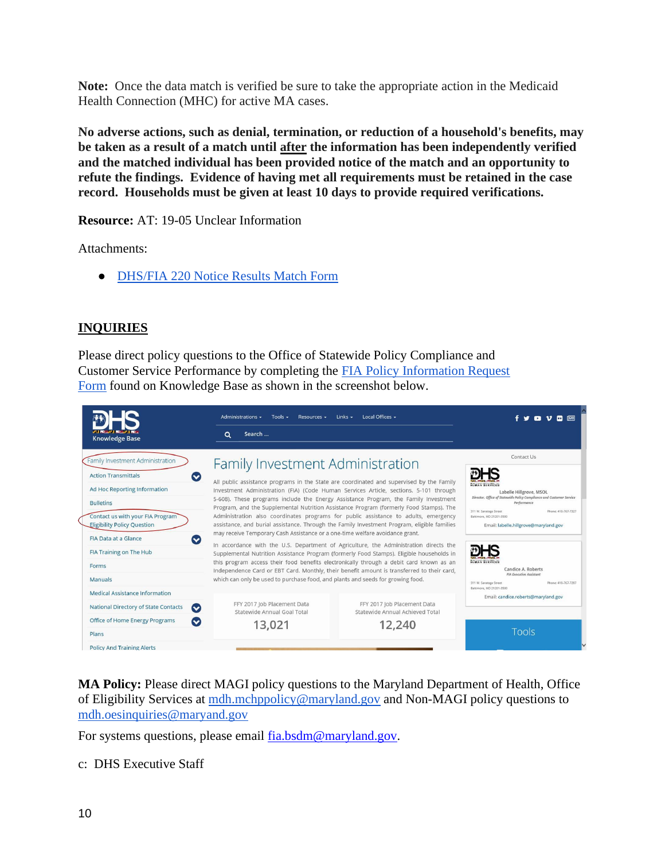**Note:** Once the data match is verified be sure to take the appropriate action in the Medicaid Health Connection (MHC) for active MA cases.

**No adverse actions, such as denial, termination, or reduction of a household's benefits, may be taken as a result of a match until after the information has been independently verified and the matched individual has been provided notice of the match and an opportunity to refute the findings. Evidence of having met all requirements must be retained in the case record. Households must be given at least 10 days to provide required verifications.** 

**Resource:** AT: 19-05 Unclear Information

Attachments:

● [DHS/FIA 220 Notice Results Match Form](https://docs.google.com/document/d/1nuSOf5_WfbBOMYBnNrWJGqioz-qOE6bT/edit) 

# **INQUIRIES**

Please direct policy questions to the Office of Statewide Policy Compliance and Customer Service Performance by completing th[e](http://kb.dhs.maryland.gov/family-investment-administration/contact-us-with-your-fia-program-eligibility-policy-question/) [FIA Policy Information Request](https://kb.dhs.maryland.gov/family-investment-administration/contact-us-with-your-fia-program-eligibility-policy-question/)  [Form](https://kb.dhs.maryland.gov/family-investment-administration/contact-us-with-your-fia-program-eligibility-policy-question/) found on Knowledge Base as shown in the screenshot below.

|                                                                                                                                                                                                                                                                                                                           | Resources $\star$<br>Administrations $\sim$<br>Tools $\sim$<br>Links $\sim$                                                                                                                                                                                                                                                                                                                                                                                                                                                                                                                                                                                                                                                                                                                                                                                                                                                                                                                                                                                                                                                                   |                                                                                               |                                                                                                                                                                                                                                                                                                                                                |  |  |  |  |  |
|---------------------------------------------------------------------------------------------------------------------------------------------------------------------------------------------------------------------------------------------------------------------------------------------------------------------------|-----------------------------------------------------------------------------------------------------------------------------------------------------------------------------------------------------------------------------------------------------------------------------------------------------------------------------------------------------------------------------------------------------------------------------------------------------------------------------------------------------------------------------------------------------------------------------------------------------------------------------------------------------------------------------------------------------------------------------------------------------------------------------------------------------------------------------------------------------------------------------------------------------------------------------------------------------------------------------------------------------------------------------------------------------------------------------------------------------------------------------------------------|-----------------------------------------------------------------------------------------------|------------------------------------------------------------------------------------------------------------------------------------------------------------------------------------------------------------------------------------------------------------------------------------------------------------------------------------------------|--|--|--|--|--|
| <b>Knowledge Base</b>                                                                                                                                                                                                                                                                                                     | Search<br>$\alpha$                                                                                                                                                                                                                                                                                                                                                                                                                                                                                                                                                                                                                                                                                                                                                                                                                                                                                                                                                                                                                                                                                                                            |                                                                                               |                                                                                                                                                                                                                                                                                                                                                |  |  |  |  |  |
| <b>Family Investment Administration</b><br><b>Action Transmittals</b><br>$\bullet$<br>Ad Hoc Reporting Information<br><b>Bulletins</b><br>Contact us with your FIA Program<br><b>Eligibility Policy Question</b><br><b>FIA Data at a Glance</b><br>$\bullet$<br>FIA Training on The Hub<br><b>Forms</b><br><b>Manuals</b> | Family Investment Administration<br>All public assistance programs in the State are coordinated and supervised by the Family<br>Investment Administration (FIA) (Code Human Services Article, sections. 5-101 through<br>5-608). These programs include the Energy Assistance Program, the Family Investment<br>Program, and the Supplemental Nutrition Assistance Program (formerly Food Stamps). The<br>Administration also coordinates programs for public assistance to adults, emergency<br>assistance, and burial assistance. Through the Family Investment Program, eligible families<br>may receive Temporary Cash Assistance or a one-time welfare avoidance grant.<br>In accordance with the U.S. Department of Agriculture, the Administration directs the<br>Supplemental Nutrition Assistance Program (formerly Food Stamps). Eligible households in<br>this program access their food benefits electronically through a debit card known as an<br>Independence Card or EBT Card. Monthly, their benefit amount is transferred to their card,<br>which can only be used to purchase food, and plants and seeds for growing food. |                                                                                               | Contact Us<br>HUMAN SERVICES<br>Labelle Hillgrove, MSOL<br>Director, Office of Statewide Policy Compliance and Customer Service<br>Performance<br>311 W. Saratoga Street<br>Phone: 410-767-7327<br>Baltimore, MD 21201-3500<br>Email: labelle.hillgrove@maryland.gov<br>HUMAN SERVICES<br>Candice A. Roberts<br><b>FIA Executive Assistant</b> |  |  |  |  |  |
| <b>Medical Assistance Information</b>                                                                                                                                                                                                                                                                                     |                                                                                                                                                                                                                                                                                                                                                                                                                                                                                                                                                                                                                                                                                                                                                                                                                                                                                                                                                                                                                                                                                                                                               |                                                                                               | 311 W. Saratoga Street<br>Phone: 410-767-7207<br>Baltimore, MO 21201-3500<br>Email: candice.roberts@maryland.gov                                                                                                                                                                                                                               |  |  |  |  |  |
| National Directory of State Contacts<br>$\bullet$                                                                                                                                                                                                                                                                         | Statewide Annual Goal Total                                                                                                                                                                                                                                                                                                                                                                                                                                                                                                                                                                                                                                                                                                                                                                                                                                                                                                                                                                                                                                                                                                                   | FFY 2017 Job Placement Data<br>FFY 2017 Job Placement Data<br>Statewide Annual Achieved Total |                                                                                                                                                                                                                                                                                                                                                |  |  |  |  |  |
| Office of Home Energy Programs<br>$\bullet$<br>Plans                                                                                                                                                                                                                                                                      | 13.021                                                                                                                                                                                                                                                                                                                                                                                                                                                                                                                                                                                                                                                                                                                                                                                                                                                                                                                                                                                                                                                                                                                                        | Tools                                                                                         |                                                                                                                                                                                                                                                                                                                                                |  |  |  |  |  |
| <b>Policy And Training Alerts</b>                                                                                                                                                                                                                                                                                         |                                                                                                                                                                                                                                                                                                                                                                                                                                                                                                                                                                                                                                                                                                                                                                                                                                                                                                                                                                                                                                                                                                                                               |                                                                                               |                                                                                                                                                                                                                                                                                                                                                |  |  |  |  |  |

**MA Policy:** Please direct MAGI policy questions to the Maryland Department of Health, Office of Eligibility Services at [mdh.mchppolicy@maryland.gov](mailto:mdh.mchppolicy@maryland.gov) and Non-MAGI policy questions to [mdh.oesinquiries@maryand.gov](mailto:mdh.oesinquiries@maryand.gov)

For systems questions, please email [fia.bsdm@maryland.gov.](mailto:fia.bsdm@maryland.gov)

#### c: DHS Executive Staff